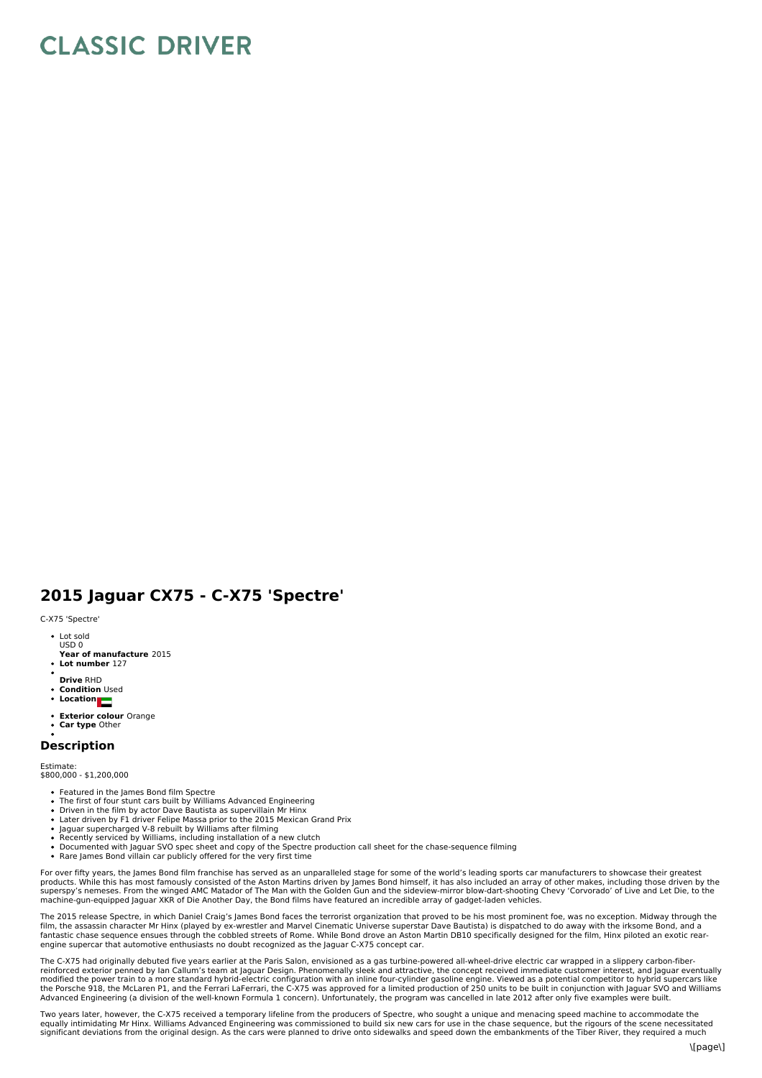## **CLASSIC DRIVER**

## **2015 Jaguar CX75 - C-X75 'Spectre'**

## C-X75 'Spectre'

- Lot sold USD 0
- **Year of manufacture** 2015
- **Lot number** 127
- **Drive** RHD
- **Condition** Used
- **Location**
- **Exterior colour** Orange **Car type** Other

## **Description**

Estimate:

\$800,000 - \$1,200,000

- Featured in the James Bond film Spectre
- 
- The first of four stunt cars built by Williams Advanced Engineering<br>Driven in the film by actor Dave Bautista as supervillain Mr Hinx<br>Later driven by F1 driver Felipe Massa prior to the 2015 Mexican Grand Prix  $\ddot{\phantom{a}}$
- 
- Jaguar supercharged V-8 rebuilt by Williams after filming<br>Recently serviced by Williams, including installation of a new clutch
- Documented with Jaguar SVO spec sheet and copy of the Spectre production call sheet for the chase-sequence filming
- Rare James Bond villain car publicly offered for the very first time

For over fifty years, the James Bond film franchise has served as an unparalleled stage for some of the world's leading sports car manufacturers to showcase their greatest products. While this has most famously consisted of the Aston Martins driven by James Bond himself, it has also included an array of other makes, including those driven by the<br>superspy's nemeses. From the winged AMC Matado machine-gun-equipped Jaguar XKR of Die Another Day, the Bond films have featured an incredible array of gadget-laden vehicles.

The 2015 release Spectre, in which Daniel Craig's James Bond faces the terrorist organization that proved to be his most prominent foe, was no exception. Midway through the film, the assassin character Mr Hinx (played by ex-wrestler and Marvel Cinematic Universe superstar Dave Bautista) is dispatched to do away with the irksome Bond, and a<br>fantastic chase sequence ensues through the cobbled s engine supercar that automotive enthusiasts no doubt recognized as the Jaguar C-X75 concept car.

The C-X75 had originally debuted five years earlier at the Paris Salon, envisioned as a gas turbine-powered all-wheel-drive electric car wrapped in a slippery carbon-fiberreinforced exterior penned by Ian Callum's team at Jaguar Design. Phenomenally sleek and attractive, the concept received immediate customer interest, and Jaguar eventually<br>modified the power train to a more standard hybri Advanced Engineering (a division of the well-known Formula 1 concern). Unfortunately, the program was cancelled in late 2012 after only five examples were built.

Two years later, however, the C-X75 received a temporary lifeline from the producers of Spectre, who sought a unique and menacing speed machine to accommodate the<br>equally intimidating Mr Hinx. Williams Advanced Engineering significant deviations from the original design. As the cars were planned to drive onto sidewalks and speed down the embankments of the Tiber River, they required a much